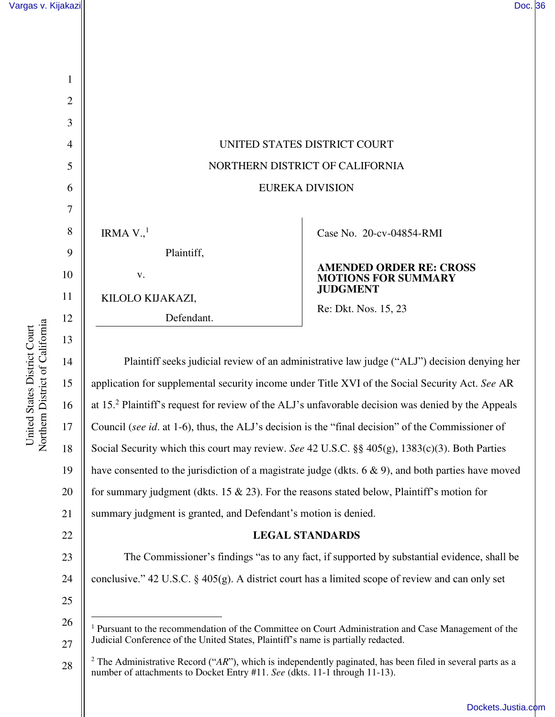

14 15 16 17 18 19 20 21 Plaintiff seeks judicial review of an administrative law judge ("ALJ") decision denying her application for supplemental security income under Title XVI of the Social Security Act. *See* AR at 15.<sup>2</sup> Plaintiff's request for review of the ALJ's unfavorable decision was denied by the Appeals Council (*see id*. at 1-6), thus, the ALJ's decision is the "final decision" of the Commissioner of Social Security which this court may review. *See* 42 U.S.C. §§ 405(g), 1383(c)(3). Both Parties have consented to the jurisdiction of a magistrate judge (dkts.  $6 \& 9$ ), and both parties have moved for summary judgment (dkts. 15 & 23). For the reasons stated below, Plaintiff's motion for summary judgment is granted, and Defendant's motion is denied.

# **LEGAL STANDARDS**

23 24 The Commissioner's findings "as to any fact, if supported by substantial evidence, shall be conclusive." 42 U.S.C. § 405(g). A district court has a limited scope of review and can only set

25

26

 $\overline{a}$ 

27

<sup>&</sup>lt;sup>1</sup> Pursuant to the recommendation of the Committee on Court Administration and Case Management of the Judicial Conference of the United States, Plaintiff's name is partially redacted.

<sup>28</sup>  <sup>2</sup> The Administrative Record ("*AR*"), which is independently paginated, has been filed in several parts as a number of attachments to Docket Entry #11. *See* (dkts. 11-1 through 11-13).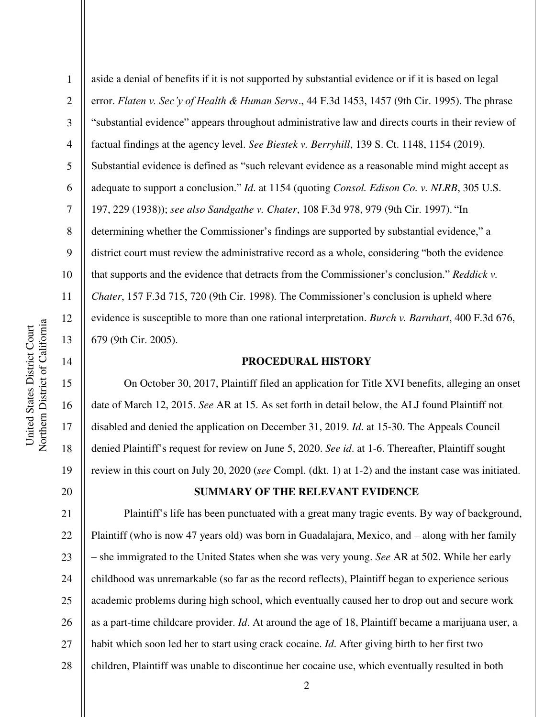2

3

4

5

6

7

8

9

10

11

12

13

14

15

16

17

18

19

20

aside a denial of benefits if it is not supported by substantial evidence or if it is based on legal error. *Flaten v. Sec'y of Health & Human Servs*., 44 F.3d 1453, 1457 (9th Cir. 1995). The phrase "substantial evidence" appears throughout administrative law and directs courts in their review of factual findings at the agency level. *See Biestek v. Berryhill*, 139 S. Ct. 1148, 1154 (2019). Substantial evidence is defined as "such relevant evidence as a reasonable mind might accept as adequate to support a conclusion." *Id*. at 1154 (quoting *Consol. Edison Co. v. NLRB*, 305 U.S. 197, 229 (1938)); *see also Sandgathe v. Chater*, 108 F.3d 978, 979 (9th Cir. 1997). "In determining whether the Commissioner's findings are supported by substantial evidence," a district court must review the administrative record as a whole, considering "both the evidence that supports and the evidence that detracts from the Commissioner's conclusion." *Reddick v. Chater*, 157 F.3d 715, 720 (9th Cir. 1998). The Commissioner's conclusion is upheld where evidence is susceptible to more than one rational interpretation. *Burch v. Barnhart*, 400 F.3d 676, 679 (9th Cir. 2005).

#### **PROCEDURAL HISTORY**

 On October 30, 2017, Plaintiff filed an application for Title XVI benefits, alleging an onset date of March 12, 2015. *See* AR at 15. As set forth in detail below, the ALJ found Plaintiff not disabled and denied the application on December 31, 2019. *Id*. at 15-30. The Appeals Council denied Plaintiff's request for review on June 5, 2020. *See id*. at 1-6. Thereafter, Plaintiff sought review in this court on July 20, 2020 (*see* Compl. (dkt. 1) at 1-2) and the instant case was initiated.

## **SUMMARY OF THE RELEVANT EVIDENCE**

21 22 23 24 25 26 27 28 Plaintiff's life has been punctuated with a great many tragic events. By way of background, Plaintiff (who is now 47 years old) was born in Guadalajara, Mexico, and – along with her family – she immigrated to the United States when she was very young. *See* AR at 502. While her early childhood was unremarkable (so far as the record reflects), Plaintiff began to experience serious academic problems during high school, which eventually caused her to drop out and secure work as a part-time childcare provider. *Id*. At around the age of 18, Plaintiff became a marijuana user, a habit which soon led her to start using crack cocaine. *Id*. After giving birth to her first two children, Plaintiff was unable to discontinue her cocaine use, which eventually resulted in both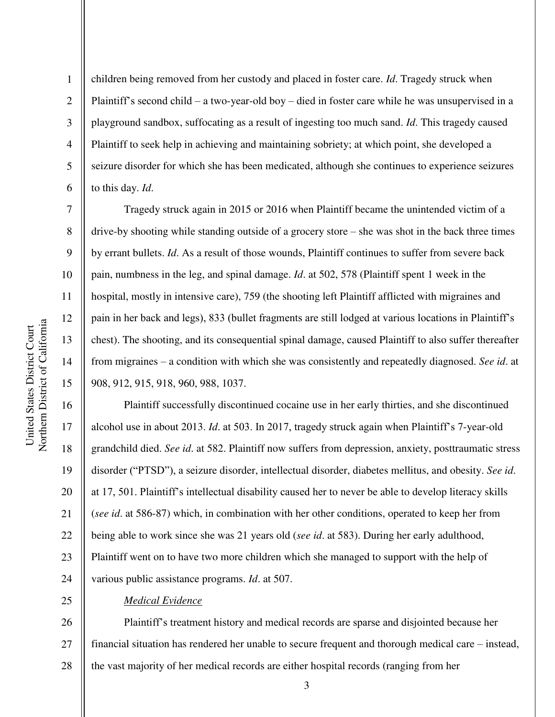2

3

4

5

6

7

8

9

10

11

12

13

14

15

25

children being removed from her custody and placed in foster care. *Id*. Tragedy struck when Plaintiff's second child – a two-year-old boy – died in foster care while he was unsupervised in a playground sandbox, suffocating as a result of ingesting too much sand. *Id*. This tragedy caused Plaintiff to seek help in achieving and maintaining sobriety; at which point, she developed a seizure disorder for which she has been medicated, although she continues to experience seizures to this day. *Id*.

Tragedy struck again in 2015 or 2016 when Plaintiff became the unintended victim of a drive-by shooting while standing outside of a grocery store – she was shot in the back three times by errant bullets. *Id*. As a result of those wounds, Plaintiff continues to suffer from severe back pain, numbness in the leg, and spinal damage. *Id*. at 502, 578 (Plaintiff spent 1 week in the hospital, mostly in intensive care), 759 (the shooting left Plaintiff afflicted with migraines and pain in her back and legs), 833 (bullet fragments are still lodged at various locations in Plaintiff's chest). The shooting, and its consequential spinal damage, caused Plaintiff to also suffer thereafter from migraines – a condition with which she was consistently and repeatedly diagnosed. *See id*. at 908, 912, 915, 918, 960, 988, 1037.

16 17 18 19 20 21 22 23 24 Plaintiff successfully discontinued cocaine use in her early thirties, and she discontinued alcohol use in about 2013. *Id*. at 503. In 2017, tragedy struck again when Plaintiff's 7-year-old grandchild died. *See id*. at 582. Plaintiff now suffers from depression, anxiety, posttraumatic stress disorder ("PTSD"), a seizure disorder, intellectual disorder, diabetes mellitus, and obesity. *See id*. at 17, 501. Plaintiff's intellectual disability caused her to never be able to develop literacy skills (*see id*. at 586-87) which, in combination with her other conditions, operated to keep her from being able to work since she was 21 years old (*see id*. at 583). During her early adulthood, Plaintiff went on to have two more children which she managed to support with the help of various public assistance programs. *Id*. at 507.

## *Medical Evidence*

26 27 28 Plaintiff's treatment history and medical records are sparse and disjointed because her financial situation has rendered her unable to secure frequent and thorough medical care – instead, the vast majority of her medical records are either hospital records (ranging from her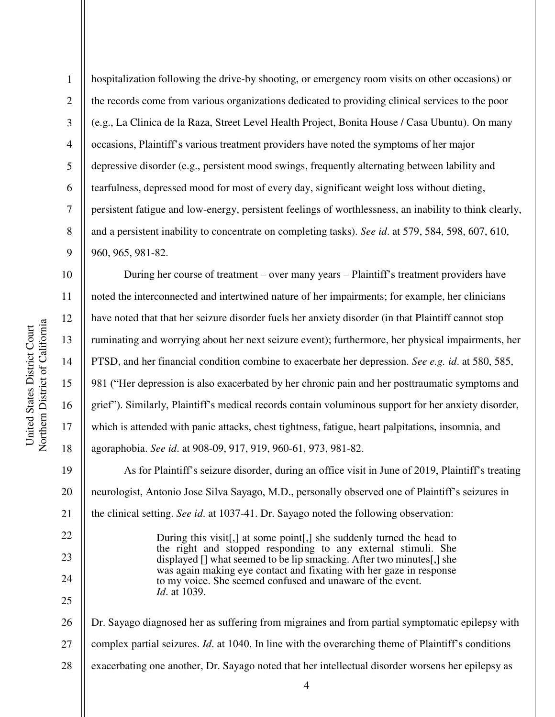Northern District of California Northern District of California United States District Court United States District Court

10

11

12

13

14

15

16

17

18

22

23

24

25

1 2 3 4 5 6 7 8 9 hospitalization following the drive-by shooting, or emergency room visits on other occasions) or the records come from various organizations dedicated to providing clinical services to the poor (e.g., La Clinica de la Raza, Street Level Health Project, Bonita House / Casa Ubuntu). On many occasions, Plaintiff's various treatment providers have noted the symptoms of her major depressive disorder (e.g., persistent mood swings, frequently alternating between lability and tearfulness, depressed mood for most of every day, significant weight loss without dieting, persistent fatigue and low-energy, persistent feelings of worthlessness, an inability to think clearly, and a persistent inability to concentrate on completing tasks). *See id*. at 579, 584, 598, 607, 610, 960, 965, 981-82.

During her course of treatment – over many years – Plaintiff's treatment providers have noted the interconnected and intertwined nature of her impairments; for example, her clinicians have noted that that her seizure disorder fuels her anxiety disorder (in that Plaintiff cannot stop ruminating and worrying about her next seizure event); furthermore, her physical impairments, her PTSD, and her financial condition combine to exacerbate her depression. *See e.g. id*. at 580, 585, 981 ("Her depression is also exacerbated by her chronic pain and her posttraumatic symptoms and grief"). Similarly, Plaintiff's medical records contain voluminous support for her anxiety disorder, which is attended with panic attacks, chest tightness, fatigue, heart palpitations, insomnia, and agoraphobia. *See id*. at 908-09, 917, 919, 960-61, 973, 981-82.

19 20 21 As for Plaintiff's seizure disorder, during an office visit in June of 2019, Plaintiff's treating neurologist, Antonio Jose Silva Sayago, M.D., personally observed one of Plaintiff's seizures in the clinical setting. *See id*. at 1037-41. Dr. Sayago noted the following observation:

> During this visit[,] at some point[,] she suddenly turned the head to the right and stopped responding to any external stimuli. She displayed [] what seemed to be lip smacking. After two minutes[,] she was again making eye contact and fixating with her gaze in response to my voice. She seemed confused and unaware of the event. *Id*. at 1039.

26 27 28 Dr. Sayago diagnosed her as suffering from migraines and from partial symptomatic epilepsy with complex partial seizures. *Id*. at 1040. In line with the overarching theme of Plaintiff's conditions exacerbating one another, Dr. Sayago noted that her intellectual disorder worsens her epilepsy as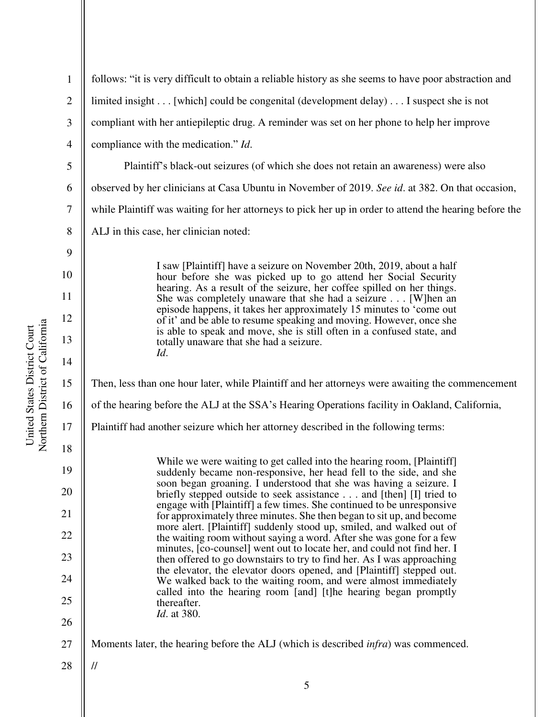1 2 3 4 5 6 7 8 9 10 11 12 13 14 15 16 17 18 19 20 21 22 23 24 25 26 27 28 follows: "it is very difficult to obtain a reliable history as she seems to have poor abstraction and limited insight . . . [which] could be congenital (development delay) . . . I suspect she is not compliant with her antiepileptic drug. A reminder was set on her phone to help her improve compliance with the medication." *Id*. Plaintiff's black-out seizures (of which she does not retain an awareness) were also observed by her clinicians at Casa Ubuntu in November of 2019. *See id*. at 382. On that occasion, while Plaintiff was waiting for her attorneys to pick her up in order to attend the hearing before the ALJ in this case, her clinician noted: I saw [Plaintiff] have a seizure on November 20th, 2019, about a half hour before she was picked up to go attend her Social Security hearing. As a result of the seizure, her coffee spilled on her things. She was completely unaware that she had a seizure . . . [W]hen an episode happens, it takes her approximately 15 minutes to 'come out of it' and be able to resume speaking and moving. However, once she is able to speak and move, she is still often in a confused state, and totally unaware that she had a seizure. *Id*. Then, less than one hour later, while Plaintiff and her attorneys were awaiting the commencement of the hearing before the ALJ at the SSA's Hearing Operations facility in Oakland, California, Plaintiff had another seizure which her attorney described in the following terms: While we were waiting to get called into the hearing room, [Plaintiff] suddenly became non-responsive, her head fell to the side, and she soon began groaning. I understood that she was having a seizure. I briefly stepped outside to seek assistance . . . and [then] [I] tried to engage with [Plaintiff] a few times. She continued to be unresponsive for approximately three minutes. She then began to sit up, and become more alert. [Plaintiff] suddenly stood up, smiled, and walked out of the waiting room without saying a word. After she was gone for a few minutes, [co-counsel] went out to locate her, and could not find her. I then offered to go downstairs to try to find her. As I was approaching the elevator, the elevator doors opened, and [Plaintiff] stepped out. We walked back to the waiting room, and were almost immediately called into the hearing room [and] [t]he hearing began promptly thereafter. *Id*. at 380. Moments later, the hearing before the ALJ (which is described *infra*) was commenced. //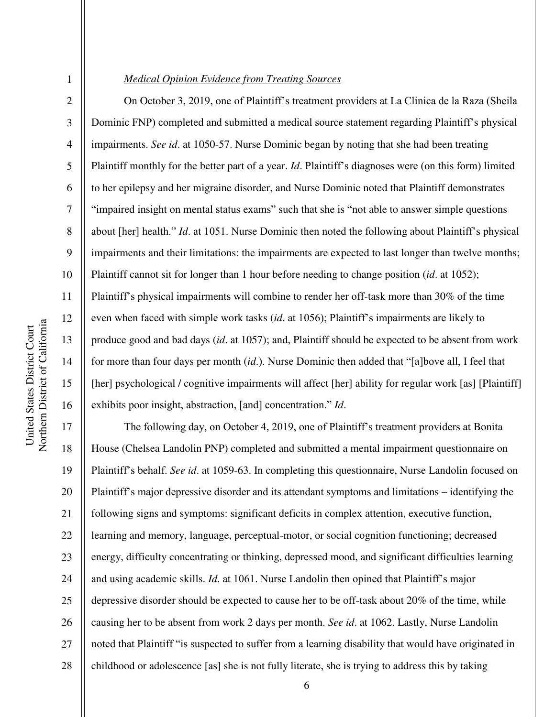3

4

5

6

7

8

9

10

11

12

13

14

15

16

1

#### *Medical Opinion Evidence from Treating Sources*

 On October 3, 2019, one of Plaintiff's treatment providers at La Clinica de la Raza (Sheila Dominic FNP) completed and submitted a medical source statement regarding Plaintiff's physical impairments. *See id*. at 1050-57. Nurse Dominic began by noting that she had been treating Plaintiff monthly for the better part of a year. *Id*. Plaintiff's diagnoses were (on this form) limited to her epilepsy and her migraine disorder, and Nurse Dominic noted that Plaintiff demonstrates "impaired insight on mental status exams" such that she is "not able to answer simple questions about [her] health." *Id*. at 1051. Nurse Dominic then noted the following about Plaintiff's physical impairments and their limitations: the impairments are expected to last longer than twelve months; Plaintiff cannot sit for longer than 1 hour before needing to change position (*id*. at 1052); Plaintiff's physical impairments will combine to render her off-task more than 30% of the time even when faced with simple work tasks (*id*. at 1056); Plaintiff's impairments are likely to produce good and bad days (*id*. at 1057); and, Plaintiff should be expected to be absent from work for more than four days per month (*id*.). Nurse Dominic then added that "[a]bove all, I feel that [her] psychological / cognitive impairments will affect [her] ability for regular work [as] [Plaintiff] exhibits poor insight, abstraction, [and] concentration." *Id*.

17 18 19 20 21 22 23 24 25 26 27 28 The following day, on October 4, 2019, one of Plaintiff's treatment providers at Bonita House (Chelsea Landolin PNP) completed and submitted a mental impairment questionnaire on Plaintiff's behalf. *See id*. at 1059-63. In completing this questionnaire, Nurse Landolin focused on Plaintiff's major depressive disorder and its attendant symptoms and limitations – identifying the following signs and symptoms: significant deficits in complex attention, executive function, learning and memory, language, perceptual-motor, or social cognition functioning; decreased energy, difficulty concentrating or thinking, depressed mood, and significant difficulties learning and using academic skills. *Id*. at 1061. Nurse Landolin then opined that Plaintiff's major depressive disorder should be expected to cause her to be off-task about 20% of the time, while causing her to be absent from work 2 days per month. *See id*. at 1062. Lastly, Nurse Landolin noted that Plaintiff "is suspected to suffer from a learning disability that would have originated in childhood or adolescence [as] she is not fully literate, she is trying to address this by taking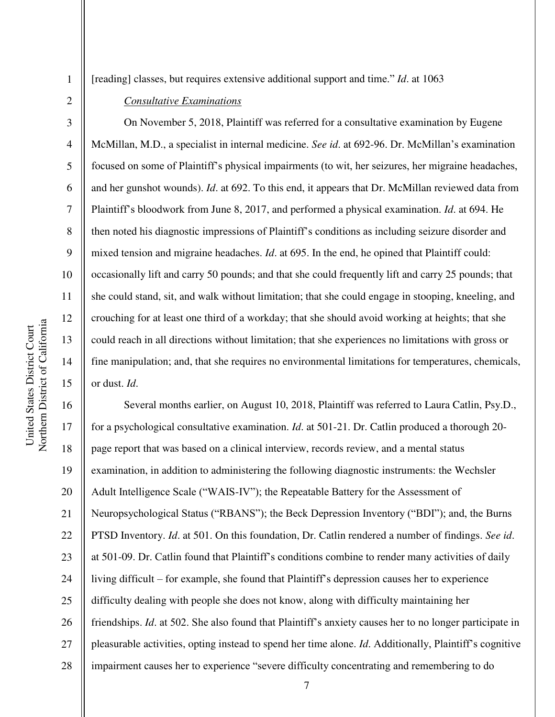2

3

4

5

6

7

8

9

10

11

12

13

14

15

United States District Court

United States District Court

[reading] classes, but requires extensive additional support and time." *Id*. at 1063

### *Consultative Examinations*

 On November 5, 2018, Plaintiff was referred for a consultative examination by Eugene McMillan, M.D., a specialist in internal medicine. *See id*. at 692-96. Dr. McMillan's examination focused on some of Plaintiff's physical impairments (to wit, her seizures, her migraine headaches, and her gunshot wounds). *Id*. at 692. To this end, it appears that Dr. McMillan reviewed data from Plaintiff's bloodwork from June 8, 2017, and performed a physical examination. *Id*. at 694. He then noted his diagnostic impressions of Plaintiff's conditions as including seizure disorder and mixed tension and migraine headaches. *Id*. at 695. In the end, he opined that Plaintiff could: occasionally lift and carry 50 pounds; and that she could frequently lift and carry 25 pounds; that she could stand, sit, and walk without limitation; that she could engage in stooping, kneeling, and crouching for at least one third of a workday; that she should avoid working at heights; that she could reach in all directions without limitation; that she experiences no limitations with gross or fine manipulation; and, that she requires no environmental limitations for temperatures, chemicals, or dust. *Id*.

16 17 18 19 20 21 22 23 24 25 26 27 28 Several months earlier, on August 10, 2018, Plaintiff was referred to Laura Catlin, Psy.D., for a psychological consultative examination. *Id*. at 501-21. Dr. Catlin produced a thorough 20 page report that was based on a clinical interview, records review, and a mental status examination, in addition to administering the following diagnostic instruments: the Wechsler Adult Intelligence Scale ("WAIS-IV"); the Repeatable Battery for the Assessment of Neuropsychological Status ("RBANS"); the Beck Depression Inventory ("BDI"); and, the Burns PTSD Inventory. *Id*. at 501. On this foundation, Dr. Catlin rendered a number of findings. *See id*. at 501-09. Dr. Catlin found that Plaintiff's conditions combine to render many activities of daily living difficult – for example, she found that Plaintiff's depression causes her to experience difficulty dealing with people she does not know, along with difficulty maintaining her friendships. *Id*. at 502. She also found that Plaintiff's anxiety causes her to no longer participate in pleasurable activities, opting instead to spend her time alone. *Id*. Additionally, Plaintiff's cognitive impairment causes her to experience "severe difficulty concentrating and remembering to do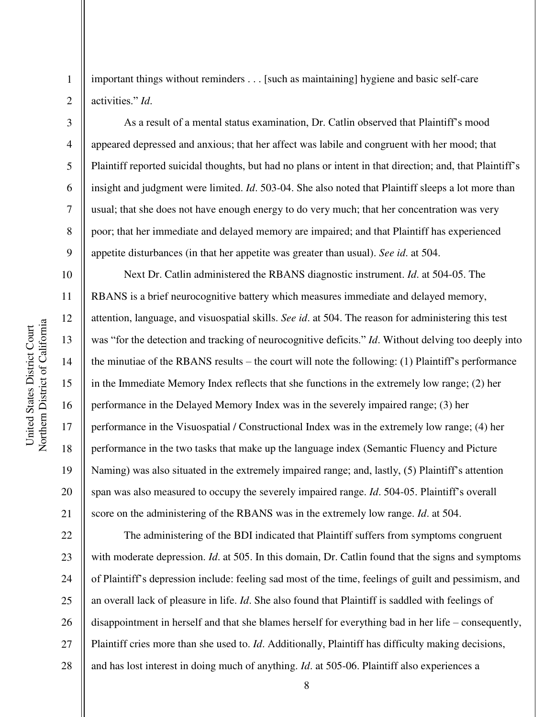Northern District of California Northern District of California United States District Court United States District Court

1

2

3

4

5

6

7

8

9

10

11

12

13

14

15

16

17

18

19

20

21

important things without reminders . . . [such as maintaining] hygiene and basic self-care activities." *Id*.

As a result of a mental status examination, Dr. Catlin observed that Plaintiff's mood appeared depressed and anxious; that her affect was labile and congruent with her mood; that Plaintiff reported suicidal thoughts, but had no plans or intent in that direction; and, that Plaintiff's insight and judgment were limited. *Id*. 503-04. She also noted that Plaintiff sleeps a lot more than usual; that she does not have enough energy to do very much; that her concentration was very poor; that her immediate and delayed memory are impaired; and that Plaintiff has experienced appetite disturbances (in that her appetite was greater than usual). *See id*. at 504.

 Next Dr. Catlin administered the RBANS diagnostic instrument. *Id*. at 504-05. The RBANS is a brief neurocognitive battery which measures immediate and delayed memory, attention, language, and visuospatial skills. *See id*. at 504. The reason for administering this test was "for the detection and tracking of neurocognitive deficits." *Id*. Without delving too deeply into the minutiae of the RBANS results – the court will note the following: (1) Plaintiff's performance in the Immediate Memory Index reflects that she functions in the extremely low range; (2) her performance in the Delayed Memory Index was in the severely impaired range; (3) her performance in the Visuospatial / Constructional Index was in the extremely low range; (4) her performance in the two tasks that make up the language index (Semantic Fluency and Picture Naming) was also situated in the extremely impaired range; and, lastly, (5) Plaintiff's attention span was also measured to occupy the severely impaired range. *Id*. 504-05. Plaintiff's overall score on the administering of the RBANS was in the extremely low range. *Id*. at 504.

22 23 24 25 26 27 28 The administering of the BDI indicated that Plaintiff suffers from symptoms congruent with moderate depression. *Id*. at 505. In this domain, Dr. Catlin found that the signs and symptoms of Plaintiff's depression include: feeling sad most of the time, feelings of guilt and pessimism, and an overall lack of pleasure in life. *Id*. She also found that Plaintiff is saddled with feelings of disappointment in herself and that she blames herself for everything bad in her life – consequently, Plaintiff cries more than she used to. *Id*. Additionally, Plaintiff has difficulty making decisions, and has lost interest in doing much of anything. *Id*. at 505-06. Plaintiff also experiences a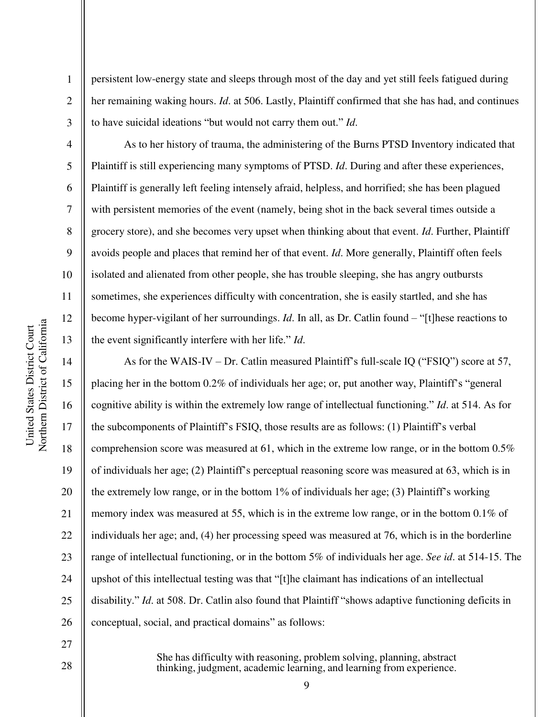2

3

4

5

6

7

8

9

10

11

12

13

persistent low-energy state and sleeps through most of the day and yet still feels fatigued during her remaining waking hours. *Id*. at 506. Lastly, Plaintiff confirmed that she has had, and continues to have suicidal ideations "but would not carry them out." *Id*.

 As to her history of trauma, the administering of the Burns PTSD Inventory indicated that Plaintiff is still experiencing many symptoms of PTSD. *Id*. During and after these experiences, Plaintiff is generally left feeling intensely afraid, helpless, and horrified; she has been plagued with persistent memories of the event (namely, being shot in the back several times outside a grocery store), and she becomes very upset when thinking about that event. *Id*. Further, Plaintiff avoids people and places that remind her of that event. *Id*. More generally, Plaintiff often feels isolated and alienated from other people, she has trouble sleeping, she has angry outbursts sometimes, she experiences difficulty with concentration, she is easily startled, and she has become hyper-vigilant of her surroundings. *Id*. In all, as Dr. Catlin found – "[t]hese reactions to the event significantly interfere with her life." *Id*.

14 15 16 17 18 19 20 21 22 23 24 25 26 As for the WAIS-IV – Dr. Catlin measured Plaintiff's full-scale IQ ("FSIQ") score at 57, placing her in the bottom 0.2% of individuals her age; or, put another way, Plaintiff's "general cognitive ability is within the extremely low range of intellectual functioning." *Id*. at 514. As for the subcomponents of Plaintiff's FSIQ, those results are as follows: (1) Plaintiff's verbal comprehension score was measured at 61, which in the extreme low range, or in the bottom  $0.5\%$ of individuals her age; (2) Plaintiff's perceptual reasoning score was measured at 63, which is in the extremely low range, or in the bottom 1% of individuals her age; (3) Plaintiff's working memory index was measured at 55, which is in the extreme low range, or in the bottom 0.1% of individuals her age; and, (4) her processing speed was measured at 76, which is in the borderline range of intellectual functioning, or in the bottom 5% of individuals her age. *See id*. at 514-15. The upshot of this intellectual testing was that "[t]he claimant has indications of an intellectual disability." *Id*. at 508. Dr. Catlin also found that Plaintiff "shows adaptive functioning deficits in conceptual, social, and practical domains" as follows:

27 28

She has difficulty with reasoning, problem solving, planning, abstract thinking, judgment, academic learning, and learning from experience.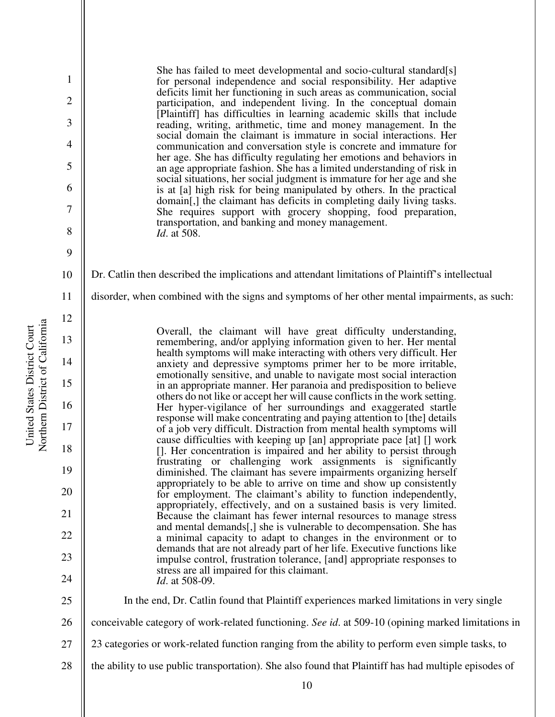She has failed to meet developmental and socio-cultural standard[s] for personal independence and social responsibility. Her adaptive deficits limit her functioning in such areas as communication, social participation, and independent living. In the conceptual domain [Plaintiff] has difficulties in learning academic skills that include reading, writing, arithmetic, time and money management. In the social domain the claimant is immature in social interactions. Her communication and conversation style is concrete and immature for her age. She has difficulty regulating her emotions and behaviors in an age appropriate fashion. She has a limited understanding of risk in social situations, her social judgment is immature for her age and she is at [a] high risk for being manipulated by others. In the practical domain[,] the claimant has deficits in completing daily living tasks. She requires support with grocery shopping, food preparation, transportation, and banking and money management. *Id*. at 508.

10 Dr. Catlin then described the implications and attendant limitations of Plaintiff's intellectual

11 disorder, when combined with the signs and symptoms of her other mental impairments, as such:

> Overall, the claimant will have great difficulty understanding, remembering, and/or applying information given to her. Her mental health symptoms will make interacting with others very difficult. Her anxiety and depressive symptoms primer her to be more irritable, emotionally sensitive, and unable to navigate most social interaction in an appropriate manner. Her paranoia and predisposition to believe others do not like or accept her will cause conflicts in the work setting. Her hyper-vigilance of her surroundings and exaggerated startle response will make concentrating and paying attention to [the] details of a job very difficult. Distraction from mental health symptoms will cause difficulties with keeping up [an] appropriate pace [at] [] work []. Her concentration is impaired and her ability to persist through frustrating or challenging work assignments is significantly diminished. The claimant has severe impairments organizing herself appropriately to be able to arrive on time and show up consistently for employment. The claimant's ability to function independently, appropriately, effectively, and on a sustained basis is very limited. Because the claimant has fewer internal resources to manage stress and mental demands[,] she is vulnerable to decompensation. She has a minimal capacity to adapt to changes in the environment or to demands that are not already part of her life. Executive functions like impulse control, frustration tolerance, [and] appropriate responses to stress are all impaired for this claimant. *Id*. at 508-09.

Northern District of California Northern District of California United States District Court United States District Court

1

2

3

4

5

6

7

8

9

12

13

14

15

16

17

18

19

20

21

22

23

24

25

26

27 28

23 categories or work-related function ranging from the ability to perform even simple tasks, to

the ability to use public transportation). She also found that Plaintiff has had multiple episodes of

conceivable category of work-related functioning. *See id*. at 509-10 (opining marked limitations in

In the end, Dr. Catlin found that Plaintiff experiences marked limitations in very single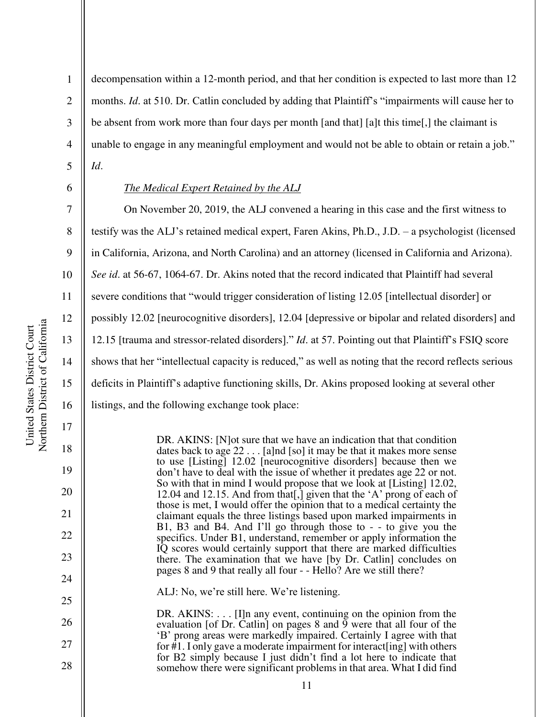2

3

4

5

6

7

8

9

10

11

12

13

14

15

16

17

18

19

20

21

22

23

24

25

26

27

28

decompensation within a 12-month period, and that her condition is expected to last more than 12 months. *Id.* at 510. Dr. Catlin concluded by adding that Plaintiff's "impairments will cause her to be absent from work more than four days per month [and that] [a]t this time[,] the claimant is unable to engage in any meaningful employment and would not be able to obtain or retain a job." *Id*.

## *The Medical Expert Retained by the ALJ*

On November 20, 2019, the ALJ convened a hearing in this case and the first witness to testify was the ALJ's retained medical expert, Faren Akins, Ph.D., J.D. – a psychologist (licensed in California, Arizona, and North Carolina) and an attorney (licensed in California and Arizona). *See id*. at 56-67, 1064-67. Dr. Akins noted that the record indicated that Plaintiff had several severe conditions that "would trigger consideration of listing 12.05 [intellectual disorder] or possibly 12.02 [neurocognitive disorders], 12.04 [depressive or bipolar and related disorders] and 12.15 [trauma and stressor-related disorders]." *Id*. at 57. Pointing out that Plaintiff's FSIQ score shows that her "intellectual capacity is reduced," as well as noting that the record reflects serious deficits in Plaintiff's adaptive functioning skills, Dr. Akins proposed looking at several other listings, and the following exchange took place:

> DR. AKINS: [N]ot sure that we have an indication that that condition dates back to age 22 . . . [a]nd [so] it may be that it makes more sense to use [Listing] 12.02 [neurocognitive disorders] because then we don't have to deal with the issue of whether it predates age 22 or not. So with that in mind I would propose that we look at [Listing] 12.02, 12.04 and 12.15. And from that[,] given that the 'A' prong of each of those is met, I would offer the opinion that to a medical certainty the claimant equals the three listings based upon marked impairments in B1, B3 and B4. And I'll go through those to - - to give you the specifics. Under B1, understand, remember or apply information the IQ scores would certainly support that there are marked difficulties there. The examination that we have [by Dr. Catlin] concludes on pages 8 and 9 that really all four - - Hello? Are we still there?

ALJ: No, we're still here. We're listening.

DR. AKINS: . . . [I]n any event, continuing on the opinion from the evaluation [of Dr. Catlin] on pages  $8$  and  $\overline{9}$  were that all four of the 'B' prong areas were markedly impaired. Certainly I agree with that for  $#1$ . I only gave a moderate impairment for interact [ing] with others for B2 simply because I just didn't find a lot here to indicate that somehow there were significant problems in that area. What I did find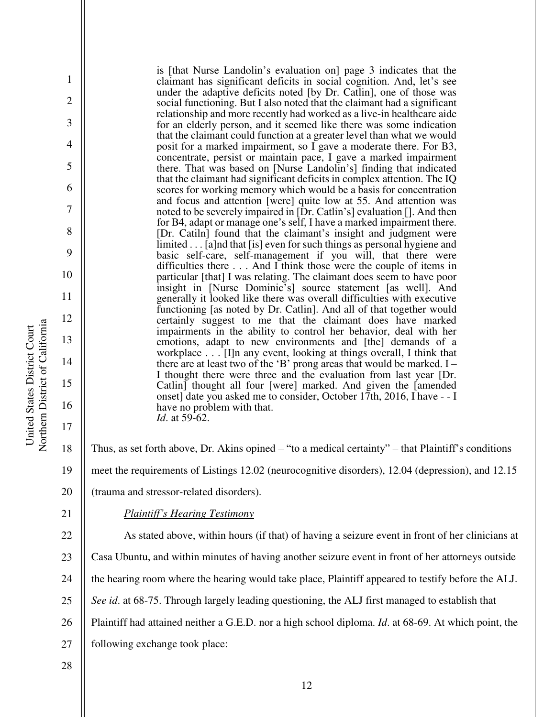is [that Nurse Landolin's evaluation on] page 3 indicates that the claimant has significant deficits in social cognition. And, let's see under the adaptive deficits noted [by Dr. Catlin], one of those was social functioning. But I also noted that the claimant had a significant relationship and more recently had worked as a live-in healthcare aide for an elderly person, and it seemed like there was some indication that the claimant could function at a greater level than what we would posit for a marked impairment, so I gave a moderate there. For B3, concentrate, persist or maintain pace, I gave a marked impairment there. That was based on [Nurse Landolin's] finding that indicated that the claimant had significant deficits in complex attention. The IQ scores for working memory which would be a basis for concentration and focus and attention [were] quite low at 55. And attention was noted to be severely impaired in [Dr. Catlin's] evaluation []. And then for B4, adapt or manage one's self, I have a marked impairment there. [Dr. Catiln] found that the claimant's insight and judgment were limited . . . [a]nd that [is] even for such things as personal hygiene and basic self-care, self-management if you will, that there were difficulties there . . . And I think those were the couple of items in particular [that] I was relating. The claimant does seem to have poor insight in [Nurse Dominic's] source statement [as well]. And generally it looked like there was overall difficulties with executive functioning [as noted by Dr. Catlin]. And all of that together would certainly suggest to me that the claimant does have marked impairments in the ability to control her behavior, deal with her emotions, adapt to new environments and [the] demands of a workplace . . . [I]n any event, looking at things overall, I think that there are at least two of the 'B' prong areas that would be marked. I – I thought there were three and the evaluation from last year [Dr. Catlin] thought all four [were] marked. And given the [amended onset] date you asked me to consider, October 17th, 2016, I have - - I have no problem with that. *Id*. at 59-62.

- Thus, as set forth above, Dr. Akins opined "to a medical certainty" that Plaintiff's conditions meet the requirements of Listings 12.02 (neurocognitive disorders), 12.04 (depression), and 12.15
- 20 (trauma and stressor-related disorders).
- 21

1

2

3

4

5

6

7

8

9

10

11

12

13

14

15

16

17

18

19

*Plaintiff's Hearing Testimony*

22 23 24 25 26 27 As stated above, within hours (if that) of having a seizure event in front of her clinicians at Casa Ubuntu, and within minutes of having another seizure event in front of her attorneys outside the hearing room where the hearing would take place, Plaintiff appeared to testify before the ALJ. *See id*. at 68-75. Through largely leading questioning, the ALJ first managed to establish that Plaintiff had attained neither a G.E.D. nor a high school diploma. *Id*. at 68-69. At which point, the following exchange took place:

28

Northern District of California Northern District of California United States District Court United States District Court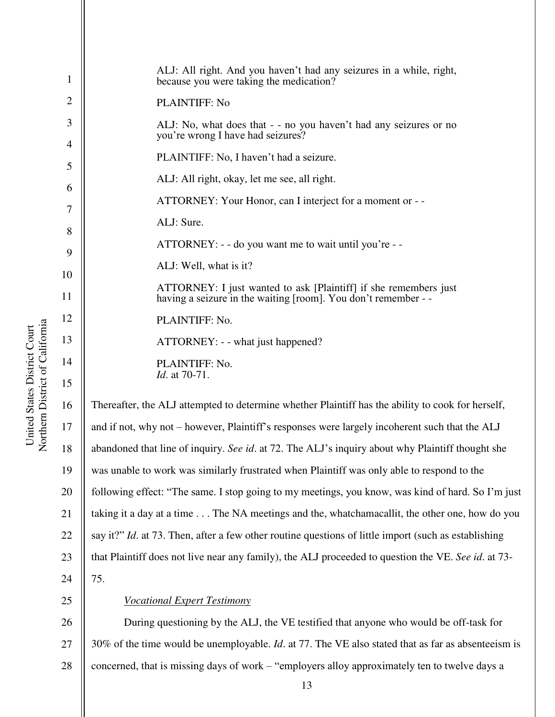| $\mathbf{1}$   | ALJ: All right. And you haven't had any seizures in a while, right,<br>because you were taking the medication?                     |
|----------------|------------------------------------------------------------------------------------------------------------------------------------|
| $\overline{2}$ | PLAINTIFF: No                                                                                                                      |
| 3              | ALJ: No, what does that - - no you haven't had any seizures or no<br>you're wrong I have had seizures?                             |
| 4              | PLAINTIFF: No, I haven't had a seizure.                                                                                            |
| 5<br>6         | ALJ: All right, okay, let me see, all right.                                                                                       |
| 7              | ATTORNEY: Your Honor, can I interject for a moment or - -                                                                          |
| 8              | ALJ: Sure.                                                                                                                         |
| 9              | ATTORNEY: - - do you want me to wait until you're - -                                                                              |
| 10             | ALJ: Well, what is it?                                                                                                             |
| 11             | ATTORNEY: I just wanted to ask [Plaintiff] if she remembers just<br>having a seizure in the waiting [room]. You don't remember - - |
| 12             | PLAINTIFF: No.                                                                                                                     |
| 13             | ATTORNEY: - - what just happened?                                                                                                  |
| 14             | PLAINTIFF: No.                                                                                                                     |
| 15             | <i>Id.</i> at 70-71.                                                                                                               |
| 16             | Thereafter, the ALJ attempted to determine whether Plaintiff has the ability to cook for herself,                                  |
| 17             | and if not, why not – however, Plaintiff's responses were largely incoherent such that the ALJ                                     |
| 18             | abandoned that line of inquiry. See id. at 72. The ALJ's inquiry about why Plaintiff thought she                                   |
| 19             | was unable to work was similarly frustrated when Plaintiff was only able to respond to the                                         |
|                |                                                                                                                                    |

Northern District of California Northern District of California United States District Court United States District Court 14 15 16 17 18

19 20 21 22 23 24 and if not, why not – however, Plaintiff's responses were largely incoherent such that the ALJ abandoned that line of inquiry. *See id*. at 72. The ALJ's inquiry about why Plaintiff thought she following effect: "The same. I stop going to my meetings, you know, was kind of hard. So I'm just taking it a day at a time . . . The NA meetings and the, whatchamacallit, the other one, how do you say it?" *Id*. at 73. Then, after a few other routine questions of little import (such as establishing that Plaintiff does not live near any family), the ALJ proceeded to question the VE. *See id*. at 73- 75.

25

# *Vocational Expert Testimony*

26 27 28 During questioning by the ALJ, the VE testified that anyone who would be off-task for 30% of the time would be unemployable. *Id*. at 77. The VE also stated that as far as absenteeism is concerned, that is missing days of work – "employers alloy approximately ten to twelve days a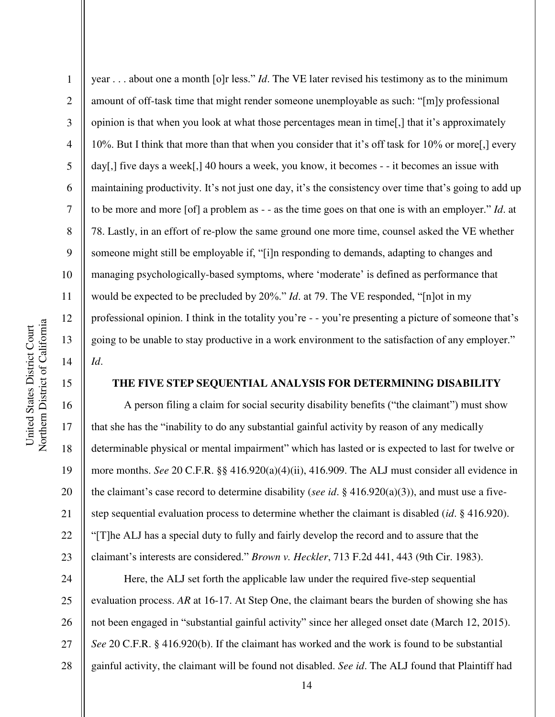16

17

18

19

20

21

22

23

1 2 3 4 5 6 7 8 9 10 11 12 13 14 year . . . about one a month [o]r less." *Id*. The VE later revised his testimony as to the minimum amount of off-task time that might render someone unemployable as such: "[m]y professional opinion is that when you look at what those percentages mean in time[,] that it's approximately 10%. But I think that more than that when you consider that it's off task for 10% or more[,] every day[,] five days a week[,] 40 hours a week, you know, it becomes - - it becomes an issue with maintaining productivity. It's not just one day, it's the consistency over time that's going to add up to be more and more [of] a problem as - - as the time goes on that one is with an employer." *Id*. at 78. Lastly, in an effort of re-plow the same ground one more time, counsel asked the VE whether someone might still be employable if, "[i]n responding to demands, adapting to changes and managing psychologically-based symptoms, where 'moderate' is defined as performance that would be expected to be precluded by 20%." *Id*. at 79. The VE responded, "[n]ot in my professional opinion. I think in the totality you're - - you're presenting a picture of someone that's going to be unable to stay productive in a work environment to the satisfaction of any employer." *Id*.

## **THE FIVE STEP SEQUENTIAL ANALYSIS FOR DETERMINING DISABILITY**

A person filing a claim for social security disability benefits ("the claimant") must show that she has the "inability to do any substantial gainful activity by reason of any medically determinable physical or mental impairment" which has lasted or is expected to last for twelve or more months. *See* 20 C.F.R. §§ 416.920(a)(4)(ii), 416.909. The ALJ must consider all evidence in the claimant's case record to determine disability (*see id*. § 416.920(a)(3)), and must use a fivestep sequential evaluation process to determine whether the claimant is disabled (*id*. § 416.920). "[T]he ALJ has a special duty to fully and fairly develop the record and to assure that the claimant's interests are considered." *Brown v. Heckler*, 713 F.2d 441, 443 (9th Cir. 1983).

24 25 26 27 28 Here, the ALJ set forth the applicable law under the required five-step sequential evaluation process. *AR* at 16-17. At Step One, the claimant bears the burden of showing she has not been engaged in "substantial gainful activity" since her alleged onset date (March 12, 2015). *See* 20 C.F.R. § 416.920(b). If the claimant has worked and the work is found to be substantial gainful activity, the claimant will be found not disabled. *See id*. The ALJ found that Plaintiff had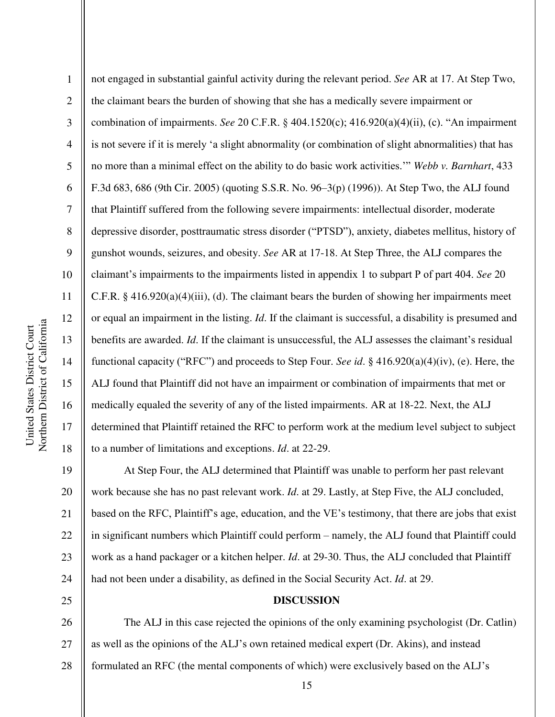1 2 3 4 5 6 7 8 9 10 11 12 13 14 15 16 17 18 not engaged in substantial gainful activity during the relevant period. *See* AR at 17. At Step Two, the claimant bears the burden of showing that she has a medically severe impairment or combination of impairments. *See* 20 C.F.R. § 404.1520(c); 416.920(a)(4)(ii), (c). "An impairment is not severe if it is merely 'a slight abnormality (or combination of slight abnormalities) that has no more than a minimal effect on the ability to do basic work activities.'" *Webb v. Barnhart*, 433 F.3d 683, 686 (9th Cir. 2005) (quoting S.S.R. No. 96–3(p) (1996)). At Step Two, the ALJ found that Plaintiff suffered from the following severe impairments: intellectual disorder, moderate depressive disorder, posttraumatic stress disorder ("PTSD"), anxiety, diabetes mellitus, history of gunshot wounds, seizures, and obesity. *See* AR at 17-18. At Step Three, the ALJ compares the claimant's impairments to the impairments listed in appendix 1 to subpart P of part 404. *See* 20 C.F.R.  $\S$  416.920(a)(4)(iii), (d). The claimant bears the burden of showing her impairments meet or equal an impairment in the listing. *Id*. If the claimant is successful, a disability is presumed and benefits are awarded. *Id*. If the claimant is unsuccessful, the ALJ assesses the claimant's residual functional capacity ("RFC") and proceeds to Step Four. *See id*. § 416.920(a)(4)(iv), (e). Here, the ALJ found that Plaintiff did not have an impairment or combination of impairments that met or medically equaled the severity of any of the listed impairments. AR at 18-22. Next, the ALJ determined that Plaintiff retained the RFC to perform work at the medium level subject to subject to a number of limitations and exceptions. *Id*. at 22-29.

19 20 21 22 23 24 At Step Four, the ALJ determined that Plaintiff was unable to perform her past relevant work because she has no past relevant work. *Id*. at 29. Lastly, at Step Five, the ALJ concluded, based on the RFC, Plaintiff's age, education, and the VE's testimony, that there are jobs that exist in significant numbers which Plaintiff could perform – namely, the ALJ found that Plaintiff could work as a hand packager or a kitchen helper. *Id*. at 29-30. Thus, the ALJ concluded that Plaintiff had not been under a disability, as defined in the Social Security Act. *Id*. at 29.

# **DISCUSSION**

26 27 28 The ALJ in this case rejected the opinions of the only examining psychologist (Dr. Catlin) as well as the opinions of the ALJ's own retained medical expert (Dr. Akins), and instead formulated an RFC (the mental components of which) were exclusively based on the ALJ's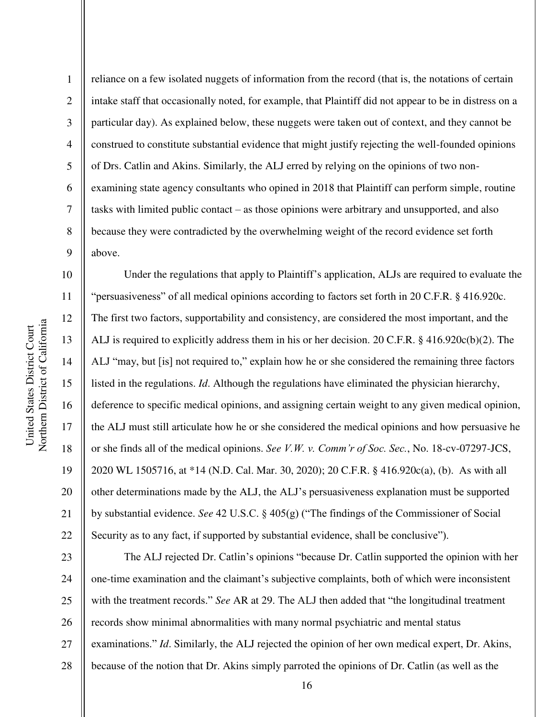Northern District of California Northern District of California United States District Court United States District Court

1 2 3 4 5 6 7 8 9 reliance on a few isolated nuggets of information from the record (that is, the notations of certain intake staff that occasionally noted, for example, that Plaintiff did not appear to be in distress on a particular day). As explained below, these nuggets were taken out of context, and they cannot be construed to constitute substantial evidence that might justify rejecting the well-founded opinions of Drs. Catlin and Akins. Similarly, the ALJ erred by relying on the opinions of two nonexamining state agency consultants who opined in 2018 that Plaintiff can perform simple, routine tasks with limited public contact – as those opinions were arbitrary and unsupported, and also because they were contradicted by the overwhelming weight of the record evidence set forth above.

10 11 12 13 14 15 16 17 18 19 20 21 22 Under the regulations that apply to Plaintiff's application, ALJs are required to evaluate the "persuasiveness" of all medical opinions according to factors set forth in 20 C.F.R. § 416.920c. The first two factors, supportability and consistency, are considered the most important, and the ALJ is required to explicitly address them in his or her decision. 20 C.F.R. § 416.920c(b)(2). The ALJ "may, but [is] not required to," explain how he or she considered the remaining three factors listed in the regulations. *Id*. Although the regulations have eliminated the physician hierarchy, deference to specific medical opinions, and assigning certain weight to any given medical opinion, the ALJ must still articulate how he or she considered the medical opinions and how persuasive he or she finds all of the medical opinions. *See V.W. v. Comm'r of Soc. Sec.*, No. 18-cv-07297-JCS, 2020 WL 1505716, at \*14 (N.D. Cal. Mar. 30, 2020); 20 C.F.R. § 416.920c(a), (b). As with all other determinations made by the ALJ, the ALJ's persuasiveness explanation must be supported by substantial evidence. *See* 42 U.S.C. § 405(g) ("The findings of the Commissioner of Social Security as to any fact, if supported by substantial evidence, shall be conclusive").

23 24 25 26 27 28 The ALJ rejected Dr. Catlin's opinions "because Dr. Catlin supported the opinion with her one-time examination and the claimant's subjective complaints, both of which were inconsistent with the treatment records." *See* AR at 29. The ALJ then added that "the longitudinal treatment records show minimal abnormalities with many normal psychiatric and mental status examinations." *Id*. Similarly, the ALJ rejected the opinion of her own medical expert, Dr. Akins, because of the notion that Dr. Akins simply parroted the opinions of Dr. Catlin (as well as the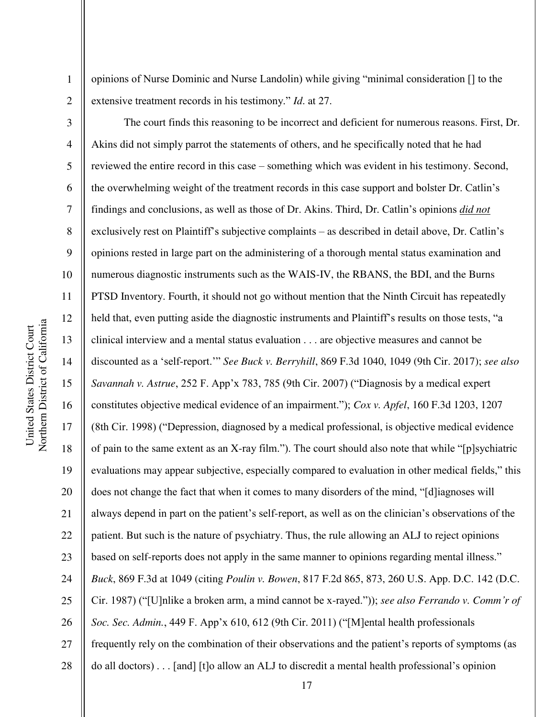Northern District of California Northern District of California United States District Court United States District Court

1

2

opinions of Nurse Dominic and Nurse Landolin) while giving "minimal consideration [] to the extensive treatment records in his testimony." *Id*. at 27.

3 4 5 6 7 8 9 10 11 12 13 14 15 16 17 18 19 20 21 22 23 24 25 26 27 28 The court finds this reasoning to be incorrect and deficient for numerous reasons. First, Dr. Akins did not simply parrot the statements of others, and he specifically noted that he had reviewed the entire record in this case – something which was evident in his testimony. Second, the overwhelming weight of the treatment records in this case support and bolster Dr. Catlin's findings and conclusions, as well as those of Dr. Akins. Third, Dr. Catlin's opinions *did not* exclusively rest on Plaintiff's subjective complaints – as described in detail above, Dr. Catlin's opinions rested in large part on the administering of a thorough mental status examination and numerous diagnostic instruments such as the WAIS-IV, the RBANS, the BDI, and the Burns PTSD Inventory. Fourth, it should not go without mention that the Ninth Circuit has repeatedly held that, even putting aside the diagnostic instruments and Plaintiff's results on those tests, "a clinical interview and a mental status evaluation . . . are objective measures and cannot be discounted as a 'self-report.'" *See Buck v. Berryhill*, 869 F.3d 1040, 1049 (9th Cir. 2017); *see also Savannah v. Astrue*, 252 F. App'x 783, 785 (9th Cir. 2007) ("Diagnosis by a medical expert constitutes objective medical evidence of an impairment."); *Cox v. Apfel*, 160 F.3d 1203, 1207 (8th Cir. 1998) ("Depression, diagnosed by a medical professional, is objective medical evidence of pain to the same extent as an X-ray film."). The court should also note that while "[p]sychiatric evaluations may appear subjective, especially compared to evaluation in other medical fields," this does not change the fact that when it comes to many disorders of the mind, "[d]iagnoses will always depend in part on the patient's self-report, as well as on the clinician's observations of the patient. But such is the nature of psychiatry. Thus, the rule allowing an ALJ to reject opinions based on self-reports does not apply in the same manner to opinions regarding mental illness." *Buck*, 869 F.3d at 1049 (citing *Poulin v. Bowen*, 817 F.2d 865, 873, 260 U.S. App. D.C. 142 (D.C. Cir. 1987) ("[U]nlike a broken arm, a mind cannot be x-rayed.")); *see also Ferrando v. Comm'r of Soc. Sec. Admin.*, 449 F. App'x 610, 612 (9th Cir. 2011) ("[M]ental health professionals frequently rely on the combination of their observations and the patient's reports of symptoms (as do all doctors) . . . [and] [t]o allow an ALJ to discredit a mental health professional's opinion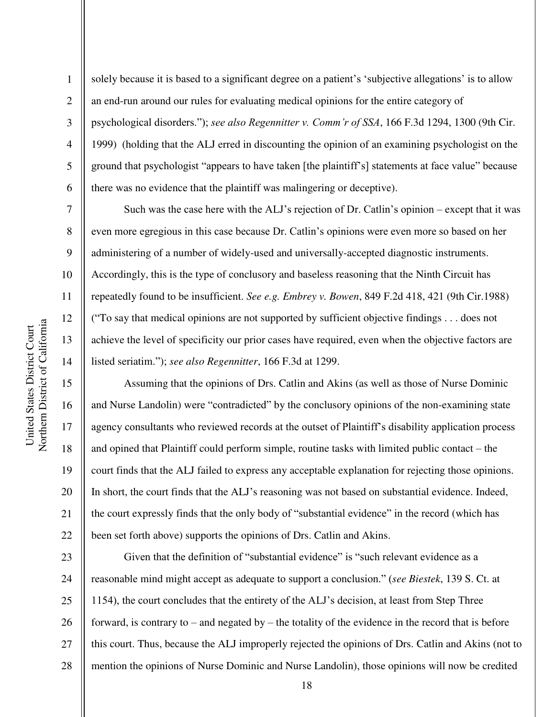2

3

4

5

7

8

9

10

11

12

13

14

15

16

17

18

19

20

21

22

6 solely because it is based to a significant degree on a patient's 'subjective allegations' is to allow an end-run around our rules for evaluating medical opinions for the entire category of psychological disorders."); *see also Regennitter v. Comm'r of SSA*, 166 F.3d 1294, 1300 (9th Cir. 1999) (holding that the ALJ erred in discounting the opinion of an examining psychologist on the ground that psychologist "appears to have taken [the plaintiff's] statements at face value" because there was no evidence that the plaintiff was malingering or deceptive).

Such was the case here with the ALJ's rejection of Dr. Catlin's opinion – except that it was even more egregious in this case because Dr. Catlin's opinions were even more so based on her administering of a number of widely-used and universally-accepted diagnostic instruments. Accordingly, this is the type of conclusory and baseless reasoning that the Ninth Circuit has repeatedly found to be insufficient. *See e.g. Embrey v. Bowen*, 849 F.2d 418, 421 (9th Cir.1988) ("To say that medical opinions are not supported by sufficient objective findings . . . does not achieve the level of specificity our prior cases have required, even when the objective factors are listed seriatim."); *see also Regennitter*, 166 F.3d at 1299.

Assuming that the opinions of Drs. Catlin and Akins (as well as those of Nurse Dominic and Nurse Landolin) were "contradicted" by the conclusory opinions of the non-examining state agency consultants who reviewed records at the outset of Plaintiff's disability application process and opined that Plaintiff could perform simple, routine tasks with limited public contact – the court finds that the ALJ failed to express any acceptable explanation for rejecting those opinions. In short, the court finds that the ALJ's reasoning was not based on substantial evidence. Indeed, the court expressly finds that the only body of "substantial evidence" in the record (which has been set forth above) supports the opinions of Drs. Catlin and Akins.

23 24 25 26 27 28 Given that the definition of "substantial evidence" is "such relevant evidence as a reasonable mind might accept as adequate to support a conclusion." (*see Biestek*, 139 S. Ct. at 1154), the court concludes that the entirety of the ALJ's decision, at least from Step Three forward, is contrary to – and negated by – the totality of the evidence in the record that is before this court. Thus, because the ALJ improperly rejected the opinions of Drs. Catlin and Akins (not to mention the opinions of Nurse Dominic and Nurse Landolin), those opinions will now be credited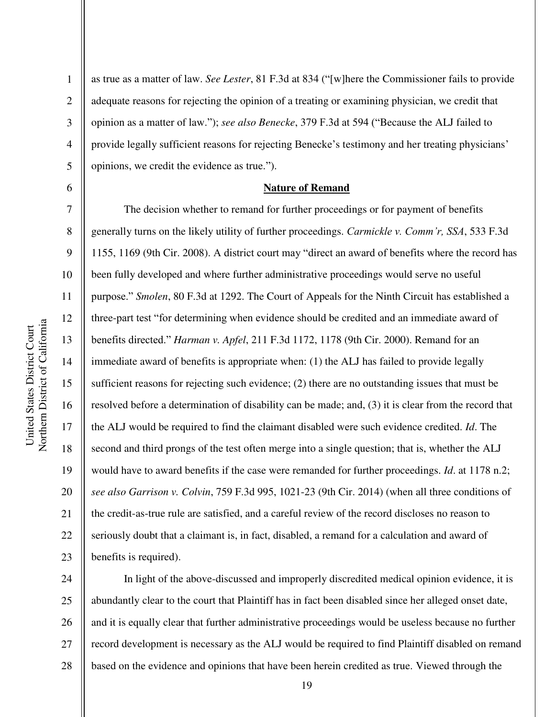2

3

4

5

6

7

8

9

10

11

12

13

14

15

16

17

18

19

20

21

22

23

as true as a matter of law. *See Lester*, 81 F.3d at 834 ("[w]here the Commissioner fails to provide adequate reasons for rejecting the opinion of a treating or examining physician, we credit that opinion as a matter of law."); *see also Benecke*, 379 F.3d at 594 ("Because the ALJ failed to provide legally sufficient reasons for rejecting Benecke's testimony and her treating physicians' opinions, we credit the evidence as true.").

#### **Nature of Remand**

The decision whether to remand for further proceedings or for payment of benefits generally turns on the likely utility of further proceedings. *Carmickle v. Comm'r, SSA*, 533 F.3d 1155, 1169 (9th Cir. 2008). A district court may "direct an award of benefits where the record has been fully developed and where further administrative proceedings would serve no useful purpose." *Smolen*, 80 F.3d at 1292. The Court of Appeals for the Ninth Circuit has established a three-part test "for determining when evidence should be credited and an immediate award of benefits directed." *Harman v. Apfel*, 211 F.3d 1172, 1178 (9th Cir. 2000). Remand for an immediate award of benefits is appropriate when: (1) the ALJ has failed to provide legally sufficient reasons for rejecting such evidence; (2) there are no outstanding issues that must be resolved before a determination of disability can be made; and, (3) it is clear from the record that the ALJ would be required to find the claimant disabled were such evidence credited. *Id*. The second and third prongs of the test often merge into a single question; that is, whether the ALJ would have to award benefits if the case were remanded for further proceedings. *Id*. at 1178 n.2; *see also Garrison v. Colvin*, 759 F.3d 995, 1021-23 (9th Cir. 2014) (when all three conditions of the credit-as-true rule are satisfied, and a careful review of the record discloses no reason to seriously doubt that a claimant is, in fact, disabled, a remand for a calculation and award of benefits is required).

24 25 26 27 28 In light of the above-discussed and improperly discredited medical opinion evidence, it is abundantly clear to the court that Plaintiff has in fact been disabled since her alleged onset date, and it is equally clear that further administrative proceedings would be useless because no further record development is necessary as the ALJ would be required to find Plaintiff disabled on remand based on the evidence and opinions that have been herein credited as true. Viewed through the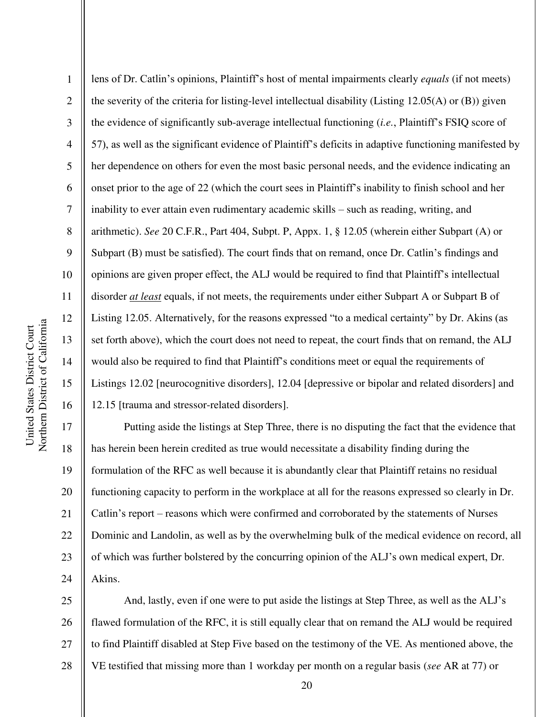1 2 3 4 5 6 7 8 9 10 11 12 13 14 15 16 lens of Dr. Catlin's opinions, Plaintiff's host of mental impairments clearly *equals* (if not meets) the severity of the criteria for listing-level intellectual disability (Listing 12.05(A) or (B)) given the evidence of significantly sub-average intellectual functioning (*i.e.*, Plaintiff's FSIQ score of 57), as well as the significant evidence of Plaintiff's deficits in adaptive functioning manifested by her dependence on others for even the most basic personal needs, and the evidence indicating an onset prior to the age of 22 (which the court sees in Plaintiff's inability to finish school and her inability to ever attain even rudimentary academic skills – such as reading, writing, and arithmetic). *See* 20 C.F.R., Part 404, Subpt. P, Appx. 1, § 12.05 (wherein either Subpart (A) or Subpart (B) must be satisfied). The court finds that on remand, once Dr. Catlin's findings and opinions are given proper effect, the ALJ would be required to find that Plaintiff's intellectual disorder *at least* equals, if not meets, the requirements under either Subpart A or Subpart B of Listing 12.05. Alternatively, for the reasons expressed "to a medical certainty" by Dr. Akins (as set forth above), which the court does not need to repeat, the court finds that on remand, the ALJ would also be required to find that Plaintiff's conditions meet or equal the requirements of Listings 12.02 [neurocognitive disorders], 12.04 [depressive or bipolar and related disorders] and 12.15 [trauma and stressor-related disorders].

17 18 19 20 21 22 23 24 Putting aside the listings at Step Three, there is no disputing the fact that the evidence that has herein been herein credited as true would necessitate a disability finding during the formulation of the RFC as well because it is abundantly clear that Plaintiff retains no residual functioning capacity to perform in the workplace at all for the reasons expressed so clearly in Dr. Catlin's report – reasons which were confirmed and corroborated by the statements of Nurses Dominic and Landolin, as well as by the overwhelming bulk of the medical evidence on record, all of which was further bolstered by the concurring opinion of the ALJ's own medical expert, Dr. Akins.

25 26 27 28 And, lastly, even if one were to put aside the listings at Step Three, as well as the ALJ's flawed formulation of the RFC, it is still equally clear that on remand the ALJ would be required to find Plaintiff disabled at Step Five based on the testimony of the VE. As mentioned above, the VE testified that missing more than 1 workday per month on a regular basis (*see* AR at 77) or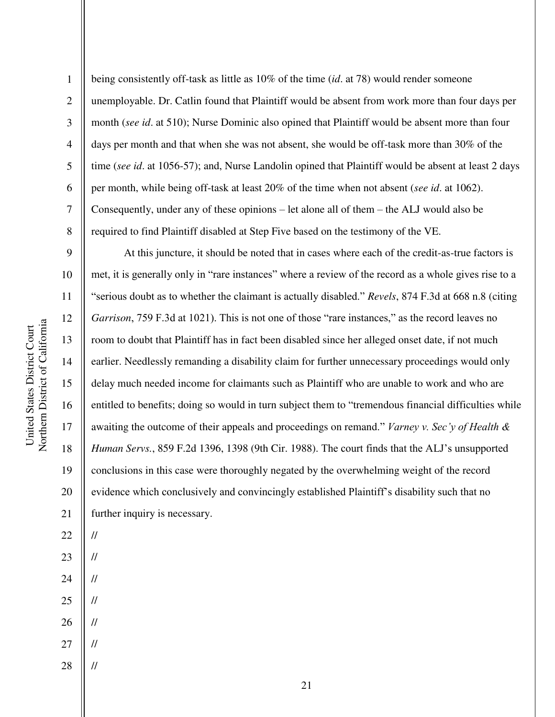1 2 3 4 5 6 7 8 being consistently off-task as little as 10% of the time (*id*. at 78) would render someone unemployable. Dr. Catlin found that Plaintiff would be absent from work more than four days per month (*see id*. at 510); Nurse Dominic also opined that Plaintiff would be absent more than four days per month and that when she was not absent, she would be off-task more than 30% of the time (*see id*. at 1056-57); and, Nurse Landolin opined that Plaintiff would be absent at least 2 days per month, while being off-task at least 20% of the time when not absent (*see id*. at 1062). Consequently, under any of these opinions – let alone all of them – the ALJ would also be required to find Plaintiff disabled at Step Five based on the testimony of the VE.

9 10 11 12 13 14 15 16 17 18 19 20 21 At this juncture, it should be noted that in cases where each of the credit-as-true factors is met, it is generally only in "rare instances" where a review of the record as a whole gives rise to a "serious doubt as to whether the claimant is actually disabled." *Revels*, 874 F.3d at 668 n.8 (citing *Garrison*, 759 F.3d at 1021). This is not one of those "rare instances," as the record leaves no room to doubt that Plaintiff has in fact been disabled since her alleged onset date, if not much earlier. Needlessly remanding a disability claim for further unnecessary proceedings would only delay much needed income for claimants such as Plaintiff who are unable to work and who are entitled to benefits; doing so would in turn subject them to "tremendous financial difficulties while awaiting the outcome of their appeals and proceedings on remand." *Varney v. Sec'y of Health & Human Servs.*, 859 F.2d 1396, 1398 (9th Cir. 1988). The court finds that the ALJ's unsupported conclusions in this case were thoroughly negated by the overwhelming weight of the record evidence which conclusively and convincingly established Plaintiff's disability such that no further inquiry is necessary.

23

//

//

//

//

22

- 24
- 25
- 26 //
- 27 //
- 28 //